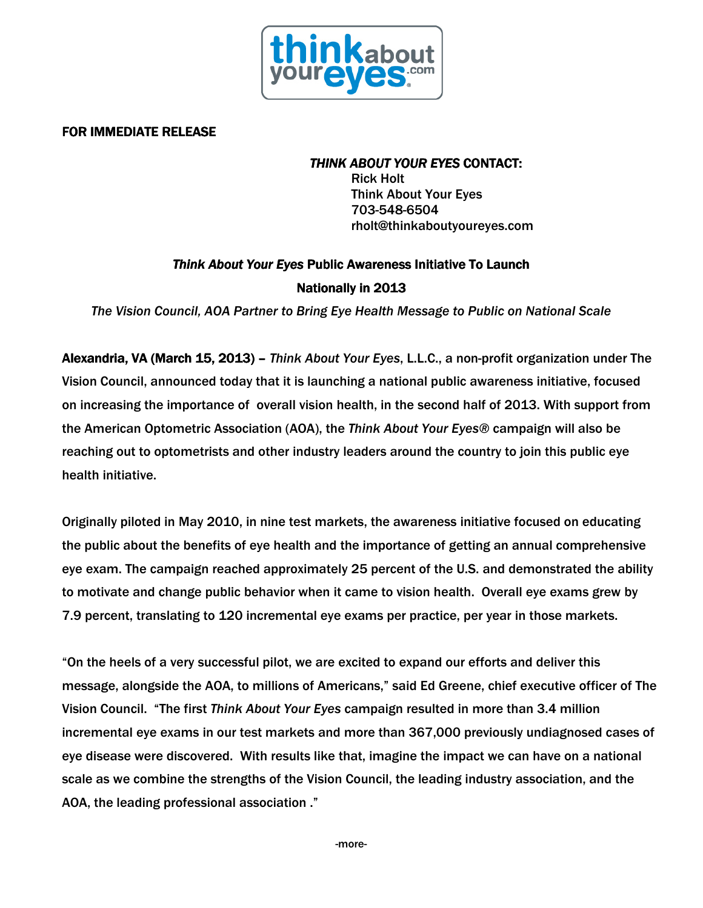

## FOR IMMEDIATE RELEASE

### THINK ABOUT YOUR EYES CONTACT:

Rick Holt Think About Your Eyes 703-548-6504 rholt@thinkaboutyoureyes.com

# Think About Your Eyes Public Awareness Initiative To Launch **Nationally in 2013**

The Vision Council, AOA Partner to Bring Eye Health Message to Public on National Scale

Alexandria, VA (March 15, 2013) – Think About Your Eyes, L.L.C., a non-profit organization under The Vision Council, announced today that it is launching a national public awareness initiative, focused on increasing the importance of overall vision health, in the second half of 2013. With support from the American Optometric Association (AOA), the Think About Your Eyes® campaign will also be reaching out to optometrists and other industry leaders around the country to join this public eye health initiative.

Originally piloted in May 2010, in nine test markets, the awareness initiative focused on educating the public about the benefits of eye health and the importance of getting an annual comprehensive eye exam. The campaign reached approximately 25 percent of the U.S. and demonstrated the ability to motivate and change public behavior when it came to vision health. Overall eye exams grew by 7.9 percent, translating to 120 incremental eye exams per practice, per year in those markets.

"On the heels of a very successful pilot, we are excited to expand our efforts and deliver this message, alongside the AOA, to millions of Americans," said Ed Greene, chief executive officer of The Vision Council. "The first Think About Your Eyes campaign resulted in more than 3.4 million incremental eye exams in our test markets and more than 367,000 previously undiagnosed cases of eye disease were discovered. With results like that, imagine the impact we can have on a national scale as we combine the strengths of the Vision Council, the leading industry association, and the AOA, the leading professional association ."